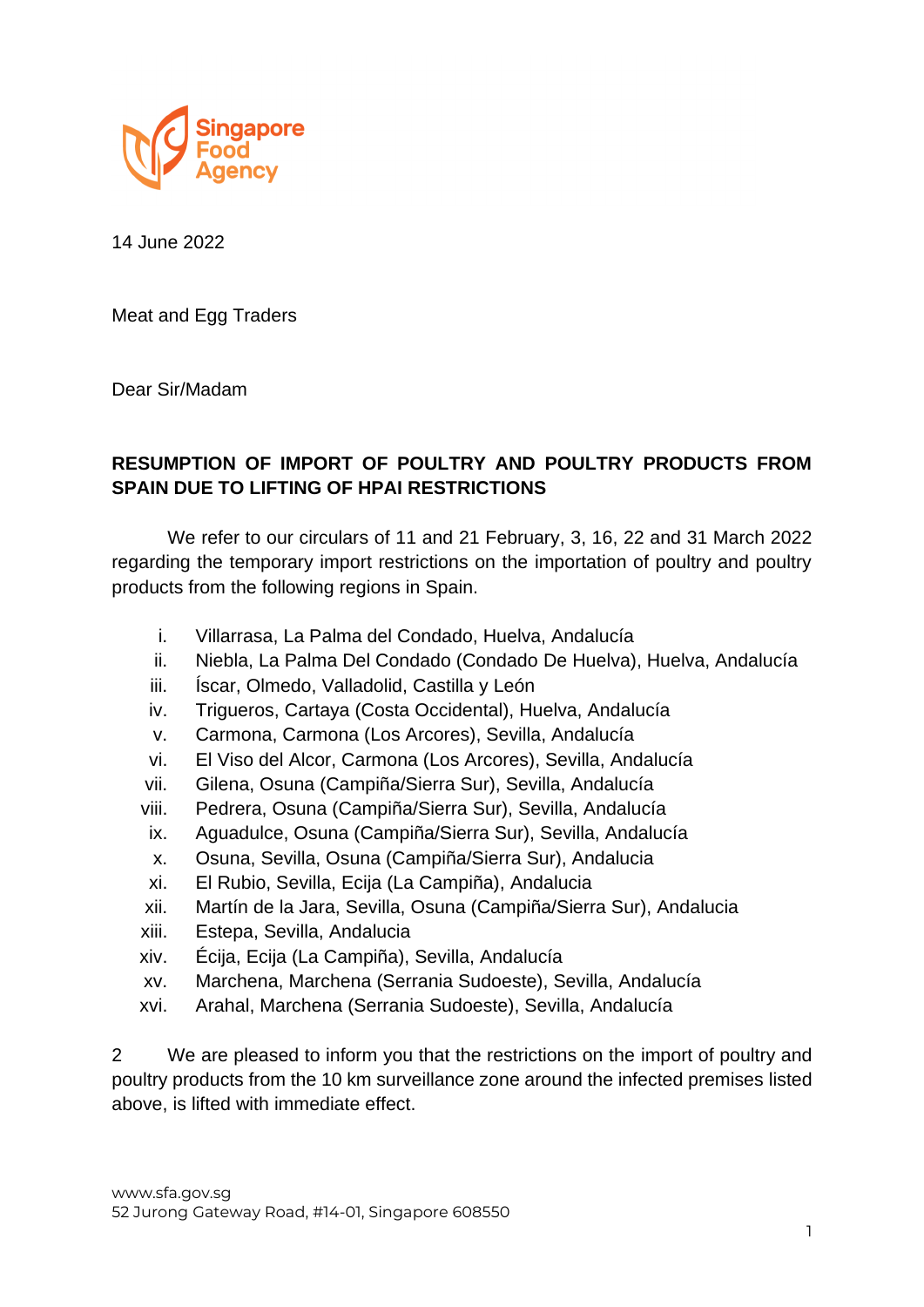

14 June 2022

Meat and Egg Traders

Dear Sir/Madam

## **RESUMPTION OF IMPORT OF POULTRY AND POULTRY PRODUCTS FROM SPAIN DUE TO LIFTING OF HPAI RESTRICTIONS**

We refer to our circulars of 11 and 21 February, 3, 16, 22 and 31 March 2022 regarding the temporary import restrictions on the importation of poultry and poultry products from the following regions in Spain.

- i. Villarrasa, La Palma del Condado, Huelva, Andalucía
- ii. Niebla, La Palma Del Condado (Condado De Huelva), Huelva, Andalucía
- iii. Íscar, Olmedo, Valladolid, Castilla y León
- iv. Trigueros, Cartaya (Costa Occidental), Huelva, Andalucía
- v. Carmona, Carmona (Los Arcores), Sevilla, Andalucía
- vi. El Viso del Alcor, Carmona (Los Arcores), Sevilla, Andalucía
- vii. Gilena, Osuna (Campiña/Sierra Sur), Sevilla, Andalucía
- viii. Pedrera, Osuna (Campiña/Sierra Sur), Sevilla, Andalucía
- ix. Aguadulce, Osuna (Campiña/Sierra Sur), Sevilla, Andalucía
- x. Osuna, Sevilla, Osuna (Campiña/Sierra Sur), Andalucia
- xi. El Rubio, Sevilla, Ecija (La Campiña), Andalucia
- xii. Martín de la Jara, Sevilla, Osuna (Campiña/Sierra Sur), Andalucia
- xiii. Estepa, Sevilla, Andalucia
- xiv. Écija, Ecija (La Campiña), Sevilla, Andalucía
- xv. Marchena, Marchena (Serrania Sudoeste), Sevilla, Andalucía
- xvi. Arahal, Marchena (Serrania Sudoeste), Sevilla, Andalucía

2 We are pleased to inform you that the restrictions on the import of poultry and poultry products from the 10 km surveillance zone around the infected premises listed above, is lifted with immediate effect.